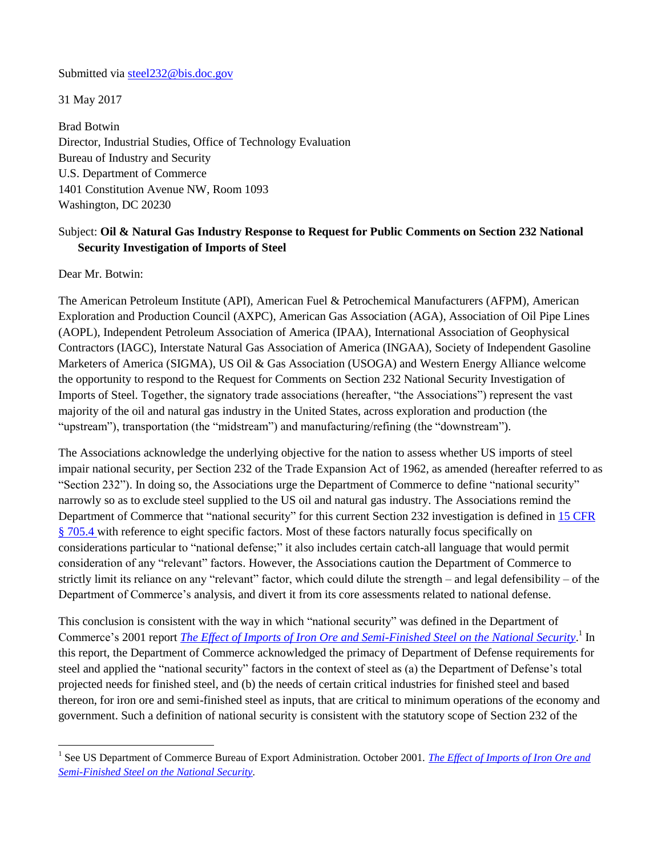#### Submitted via [steel232@bis.doc.gov](mailto:steel232@bis.doc.gov)

31 May 2017

Brad Botwin Director, Industrial Studies, Office of Technology Evaluation Bureau of Industry and Security U.S. Department of Commerce 1401 Constitution Avenue NW, Room 1093 Washington, DC 20230

# Subject: **Oil & Natural Gas Industry Response to Request for Public Comments on Section 232 National Security Investigation of Imports of Steel**

Dear Mr. Botwin:

 $\overline{a}$ 

The American Petroleum Institute (API), American Fuel & Petrochemical Manufacturers (AFPM), American Exploration and Production Council (AXPC), American Gas Association (AGA), Association of Oil Pipe Lines (AOPL), Independent Petroleum Association of America (IPAA), International Association of Geophysical Contractors (IAGC), Interstate Natural Gas Association of America (INGAA), Society of Independent Gasoline Marketers of America (SIGMA), US Oil & Gas Association (USOGA) and Western Energy Alliance welcome the opportunity to respond to the Request for Comments on Section 232 National Security Investigation of Imports of Steel. Together, the signatory trade associations (hereafter, "the Associations") represent the vast majority of the oil and natural gas industry in the United States, across exploration and production (the "upstream"), transportation (the "midstream") and manufacturing/refining (the "downstream").

The Associations acknowledge the underlying objective for the nation to assess whether US imports of steel impair national security, per Section 232 of the Trade Expansion Act of 1962, as amended (hereafter referred to as "Section 232"). In doing so, the Associations urge the Department of Commerce to define "national security" narrowly so as to exclude steel supplied to the US oil and natural gas industry. The Associations remind the Department of Commerce that "national security" for this current Section 232 investigation is defined in [15 CFR](https://www.gpo.gov/fdsys/granule/CFR-2001-title15-vol2/CFR-2001-title15-vol2-sec705-4) § [705.4](https://www.gpo.gov/fdsys/granule/CFR-2001-title15-vol2/CFR-2001-title15-vol2-sec705-4) with reference to eight specific factors. Most of these factors naturally focus specifically on considerations particular to "national defense;" it also includes certain catch-all language that would permit consideration of any "relevant" factors. However, the Associations caution the Department of Commerce to strictly limit its reliance on any "relevant" factor, which could dilute the strength – and legal defensibility – of the Department of Commerce's analysis, and divert it from its core assessments related to national defense.

This conclusion is consistent with the way in which "national security" was defined in the Department of Commerce's 2001 report *[The Effect of Imports of Iron Ore and Semi-Finished Steel on the National Security](https://www.bis.doc.gov/index.php/forms-documents/section-232-investigations/81-iron-ore-and-semi-finished-steel-2001/file)*.<sup>1</sup> In this report, the Department of Commerce acknowledged the primacy of Department of Defense requirements for steel and applied the "national security" factors in the context of steel as (a) the Department of Defense's total projected needs for finished steel, and (b) the needs of certain critical industries for finished steel and based thereon, for iron ore and semi-finished steel as inputs, that are critical to minimum operations of the economy and government. Such a definition of national security is consistent with the statutory scope of Section 232 of the

<sup>&</sup>lt;sup>1</sup> See US Department of Commerce Bureau of Export Administration. October 2001. *The Effect of Imports of Iron Ore and [Semi-Finished Steel on the National Security.](https://www.bis.doc.gov/index.php/forms-documents/section-232-investigations/81-iron-ore-and-semi-finished-steel-2001/file)*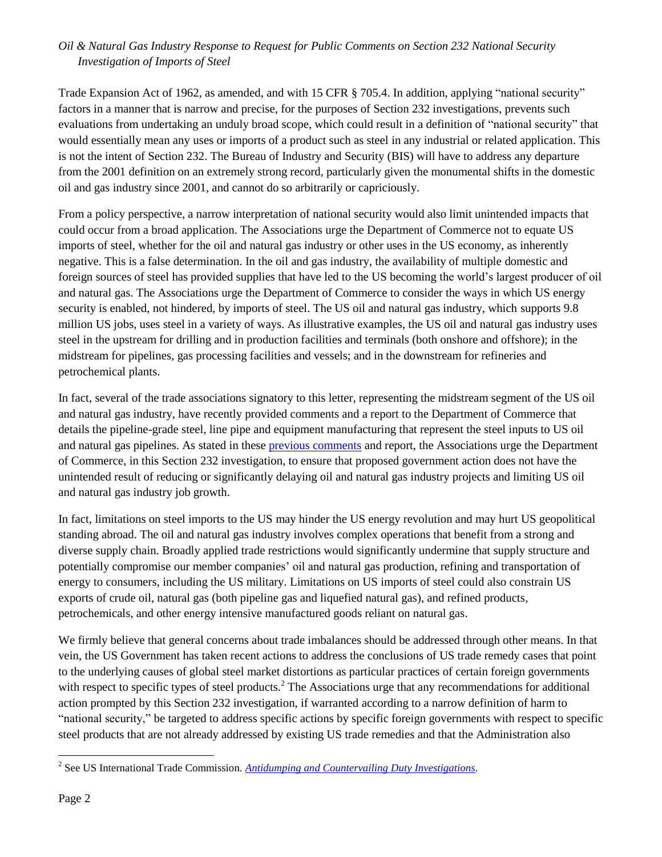Trade Expansion Act of 1962, as amended, and with 15 CFR § 705.4. In addition, applying "national security" factors in a manner that is narrow and precise, for the purposes of Section 232 investigations, prevents such evaluations from undertaking an unduly broad scope, which could result in a definition of "national security" that would essentially mean any uses or imports of a product such as steel in any industrial or related application. This is not the intent of Section 232. The Bureau of Industry and Security (BIS) will have to address any departure from the 2001 definition on an extremely strong record, particularly given the monumental shifts in the domestic oil and gas industry since 2001, and cannot do so arbitrarily or capriciously.

From a policy perspective, a narrow interpretation of national security would also limit unintended impacts that could occur from a broad application. The Associations urge the Department of Commerce not to equate US imports of steel, whether for the oil and natural gas industry or other uses in the US economy, as inherently negative. This is a false determination. In the oil and gas industry, the availability of multiple domestic and foreign sources of steel has provided supplies that have led to the US becoming the world's largest producer of oil and natural gas. The Associations urge the Department of Commerce to consider the ways in which US energy security is enabled, not hindered, by imports of steel. The US oil and natural gas industry, which supports 9.8 million US jobs, uses steel in a variety of ways. As illustrative examples, the US oil and natural gas industry uses steel in the upstream for drilling and in production facilities and terminals (both onshore and offshore); in the midstream for pipelines, gas processing facilities and vessels; and in the downstream for refineries and petrochemical plants.

In fact, several of the trade associations signatory to this letter, representing the midstream segment of the US oil and natural gas industry, have recently provided comments and a report to the Department of Commerce that details the pipeline-grade steel, line pipe and equipment manufacturing that represent the steel inputs to US oil and natural gas pipelines. As stated in these [previous comments](https://www.regulations.gov/document?D=DOC-2017-0002-0057) and report, the Associations urge the Department of Commerce, in this Section 232 investigation, to ensure that proposed government action does not have the unintended result of reducing or significantly delaying oil and natural gas industry projects and limiting US oil and natural gas industry job growth.

In fact, limitations on steel imports to the US may hinder the US energy revolution and may hurt US geopolitical standing abroad. The oil and natural gas industry involves complex operations that benefit from a strong and diverse supply chain. Broadly applied trade restrictions would significantly undermine that supply structure and potentially compromise our member companies' oil and natural gas production, refining and transportation of energy to consumers, including the US military. Limitations on US imports of steel could also constrain US exports of crude oil, natural gas (both pipeline gas and liquefied natural gas), and refined products, petrochemicals, and other energy intensive manufactured goods reliant on natural gas.

We firmly believe that general concerns about trade imbalances should be addressed through other means. In that vein, the US Government has taken recent actions to address the conclusions of US trade remedy cases that point to the underlying causes of global steel market distortions as particular practices of certain foreign governments with respect to specific types of steel products.<sup>2</sup> The Associations urge that any recommendations for additional action prompted by this Section 232 investigation, if warranted according to a narrow definition of harm to "national security," be targeted to address specific actions by specific foreign governments with respect to specific steel products that are not already addressed by existing US trade remedies and that the Administration also

 $\overline{\phantom{a}}$ 

<sup>2</sup> See US International Trade Commission. *[Antidumping and Countervailing Duty Investigations.](https://www.usitc.gov/trade_remedy/731_ad_701_cvd/investigations.htm)*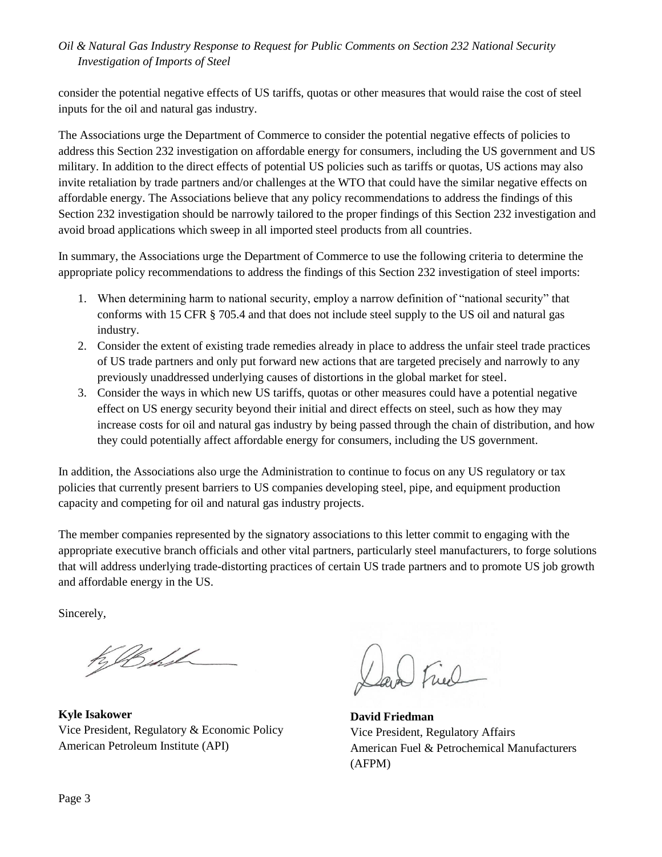consider the potential negative effects of US tariffs, quotas or other measures that would raise the cost of steel inputs for the oil and natural gas industry.

The Associations urge the Department of Commerce to consider the potential negative effects of policies to address this Section 232 investigation on affordable energy for consumers, including the US government and US military. In addition to the direct effects of potential US policies such as tariffs or quotas, US actions may also invite retaliation by trade partners and/or challenges at the WTO that could have the similar negative effects on affordable energy. The Associations believe that any policy recommendations to address the findings of this Section 232 investigation should be narrowly tailored to the proper findings of this Section 232 investigation and avoid broad applications which sweep in all imported steel products from all countries.

In summary, the Associations urge the Department of Commerce to use the following criteria to determine the appropriate policy recommendations to address the findings of this Section 232 investigation of steel imports:

- 1. When determining harm to national security, employ a narrow definition of "national security" that conforms with 15 CFR § 705.4 and that does not include steel supply to the US oil and natural gas industry.
- 2. Consider the extent of existing trade remedies already in place to address the unfair steel trade practices of US trade partners and only put forward new actions that are targeted precisely and narrowly to any previously unaddressed underlying causes of distortions in the global market for steel.
- 3. Consider the ways in which new US tariffs, quotas or other measures could have a potential negative effect on US energy security beyond their initial and direct effects on steel, such as how they may increase costs for oil and natural gas industry by being passed through the chain of distribution, and how they could potentially affect affordable energy for consumers, including the US government.

In addition, the Associations also urge the Administration to continue to focus on any US regulatory or tax policies that currently present barriers to US companies developing steel, pipe, and equipment production capacity and competing for oil and natural gas industry projects.

The member companies represented by the signatory associations to this letter commit to engaging with the appropriate executive branch officials and other vital partners, particularly steel manufacturers, to forge solutions that will address underlying trade-distorting practices of certain US trade partners and to promote US job growth and affordable energy in the US.

Sincerely,

KB hil

**Kyle Isakower** Vice President, Regulatory & Economic Policy American Petroleum Institute (API)

D Fiel

**David Friedman** Vice President, Regulatory Affairs American Fuel & Petrochemical Manufacturers (AFPM)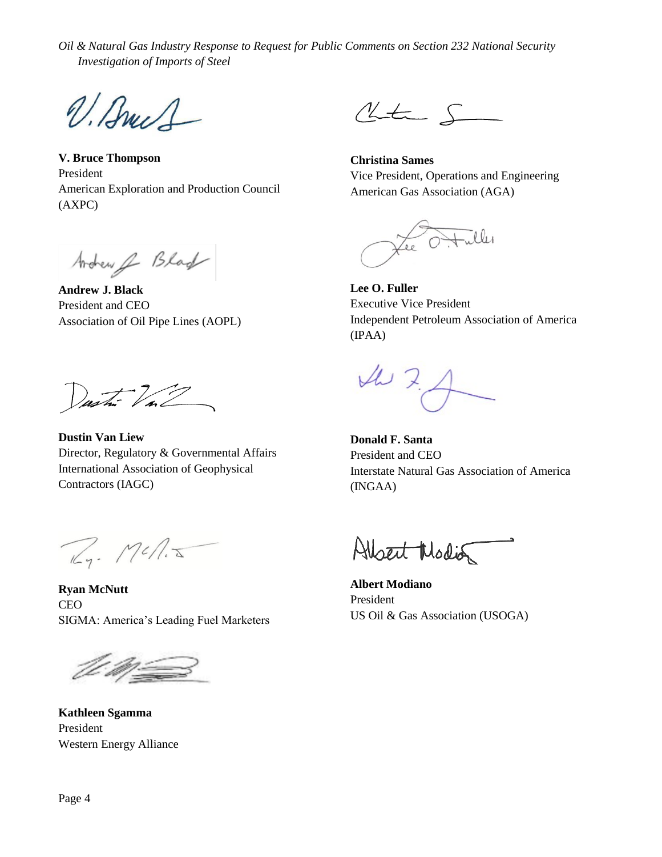V. Bruch

**V. Bruce Thompson** President American Exploration and Production Council (AXPC)

Ardrew & Blad

**Andrew J. Black** President and CEO Association of Oil Pipe Lines (AOPL)

Dustin Val

**Dustin Van Liew** Director, Regulatory & Governmental Affairs International Association of Geophysical Contractors (IAGC)

Rg. Mcn.J

**Ryan McNutt** CEO SIGMA: America's Leading Fuel Marketers

**Kathleen Sgamma** President Western Energy Alliance

 $\begin{picture}(220,20) \put(0,0){\dashbox{0.5}(5,0){ }} \thicklines \put(15,0){\dashbox{0.5}(5,0){ }} \thicklines \put(15,0){\dashbox{0.5}(5,0){ }} \thicklines \put(15,0){\dashbox{0.5}(5,0){ }} \thicklines \put(15,0){\dashbox{0.5}(5,0){ }} \thicklines \put(15,0){\dashbox{0.5}(5,0){ }} \thicklines \put(15,0){\dashbox{0.5}(5,0){ }} \thicklines \put(15,0){\dashbox{0.5}(5,0){ }} \thicklines \put(15,0){\$ 

**Christina Sames** Vice President, Operations and Engineering American Gas Association (AGA)

Lee Ottalles

**Lee O. Fuller** Executive Vice President Independent Petroleum Association of America (IPAA)

 $427$ 

**Donald F. Santa** President and CEO Interstate Natural Gas Association of America (INGAA)

Albert Modia

**Albert Modiano** President US Oil & Gas Association (USOGA)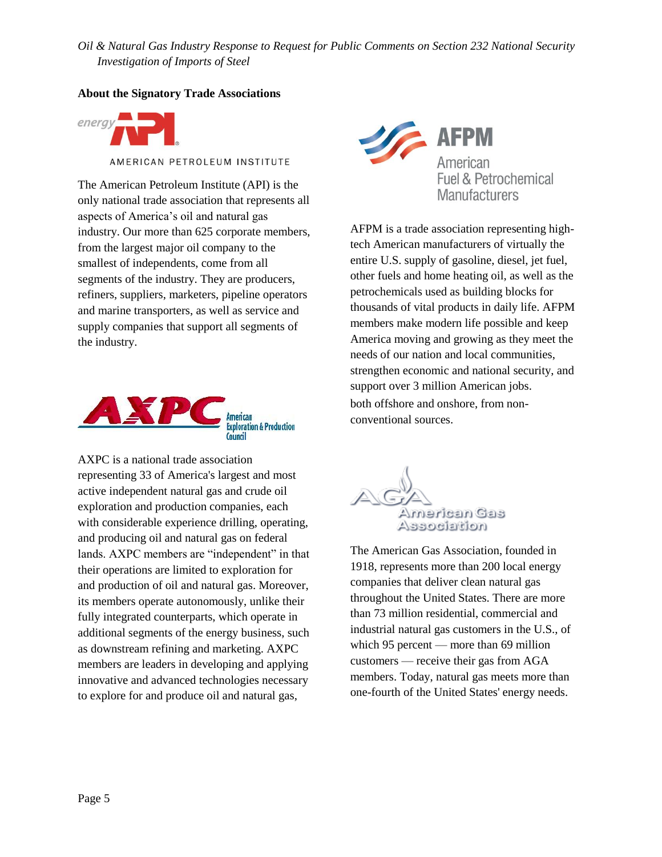### **About the Signatory Trade Associations**



AMERICAN PETROLEUM INSTITUTE

The American Petroleum Institute (API) is the only national trade association that represents all aspects of America's oil and natural gas industry. Our more than 625 corporate members, from the largest major oil company to the smallest of independents, come from all segments of the industry. They are producers, refiners, suppliers, marketers, pipeline operators and marine transporters, as well as service and supply companies that support all segments of the industry.



AXPC is a national trade association representing 33 of America's largest and most active independent natural gas and crude oil exploration and production companies, each with considerable experience drilling, operating, and producing oil and natural gas on federal lands. AXPC members are "independent" in that their operations are limited to exploration for and production of oil and natural gas. Moreover, its members operate autonomously, unlike their fully integrated counterparts, which operate in additional segments of the energy business, such as downstream refining and marketing. AXPC members are leaders in developing and applying innovative and advanced technologies necessary to explore for and produce oil and natural gas,



AFPM is a trade association representing hightech American manufacturers of virtually the entire U.S. supply of gasoline, diesel, jet fuel, other fuels and home heating oil, as well as the petrochemicals used as building blocks for thousands of vital products in daily life. AFPM members make modern life possible and keep America moving and growing as they meet the needs of our nation and local communities, strengthen economic and national security, and support over 3 million American jobs. both offshore and onshore, from nonconventional sources.



The American Gas Association, founded in 1918, represents more than 200 local energy companies that deliver clean natural gas throughout the United States. There are more than 73 million residential, commercial and industrial natural gas customers in the U.S., of which 95 percent — more than 69 million customers — receive their gas from AGA members. Today, natural gas meets more than one-fourth of the United States' energy needs.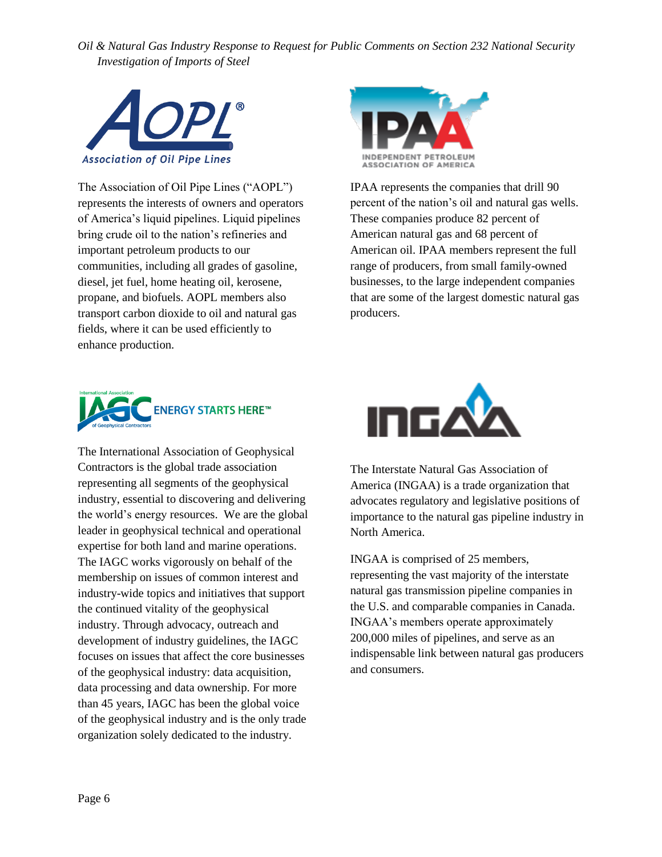

The Association of Oil Pipe Lines ("AOPL") represents the interests of owners and operators of America's liquid pipelines. Liquid pipelines bring crude oil to the nation's refineries and important petroleum products to our communities, including all grades of gasoline, diesel, jet fuel, home heating oil, kerosene, propane, and biofuels. AOPL members also transport carbon dioxide to oil and natural gas fields, where it can be used efficiently to enhance production.



IPAA represents the companies that drill 90 percent of the nation's oil and natural gas wells. These companies produce 82 percent of American natural gas and 68 percent of American oil. IPAA members represent the full range of producers, from small family-owned businesses, to the large independent companies that are some of the largest domestic natural gas producers.



The International Association of Geophysical Contractors is the global trade association representing all segments of the geophysical industry, essential to discovering and delivering the world's energy resources. We are the global leader in geophysical technical and operational expertise for both land and marine operations. The IAGC works vigorously on behalf of the membership on issues of common interest and industry-wide topics and initiatives that support the continued vitality of the geophysical industry. Through advocacy, outreach and development of industry guidelines, the IAGC focuses on issues that affect the core businesses of the geophysical industry: data acquisition, data processing and data ownership. For more than 45 years, IAGC has been the global voice of the geophysical industry and is the only trade organization solely dedicated to the industry.



The Interstate Natural Gas Association of America (INGAA) is a trade organization that advocates regulatory and legislative positions of importance to the natural gas pipeline industry in North America.

INGAA is comprised of 25 members, representing the vast majority of the interstate natural gas transmission pipeline companies in the U.S. and comparable companies in Canada. INGAA's members operate approximately 200,000 miles of pipelines, and serve as an indispensable link between natural gas producers and consumers.